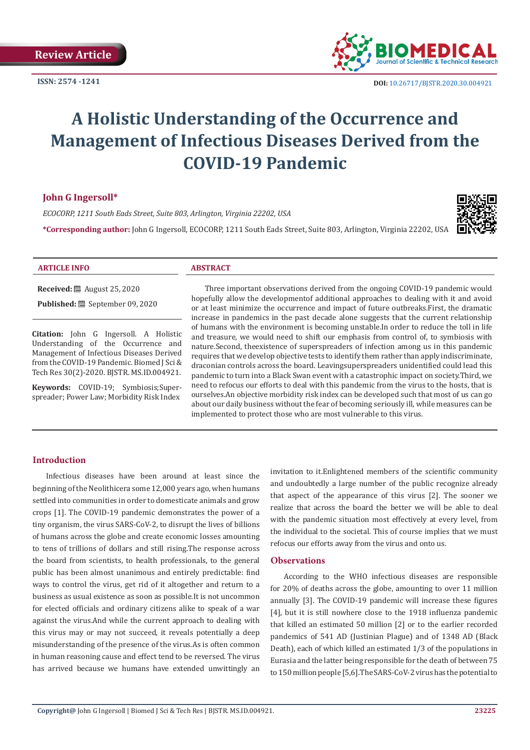

# **A Holistic Understanding of the Occurrence and Management of Infectious Diseases Derived from the COVID-19 Pandemic**

#### **John G Ingersoll\***

*ECOCORP, 1211 South Eads Street, Suite 803, Arlington, Virginia 22202, USA*

**\*Corresponding author:** John G Ingersoll, ECOCORP, 1211 South Eads Street, Suite 803, Arlington, Virginia 22202, USA



# **ARTICLE INFO ABSTRACT**

**Received:** August 25, 2020

**Published:** September 09, 2020

**Citation:** John G Ingersoll. A Holistic Understanding of the Occurrence and Management of Infectious Diseases Derived from the COVID-19 Pandemic. Biomed J Sci & Tech Res 30(2)-2020. BJSTR. MS.ID.004921.

**Keywords:** COVID-19; Symbiosis;Superspreader; Power Law; Morbidity Risk Index

Three important observations derived from the ongoing COVID-19 pandemic would hopefully allow the developmentof additional approaches to dealing with it and avoid or at least minimize the occurrence and impact of future outbreaks.First, the dramatic increase in pandemics in the past decade alone suggests that the current relationship of humans with the environment is becoming unstable.In order to reduce the toll in life and treasure, we would need to shift our emphasis from control of, to symbiosis with nature.Second, theexistence of superspreaders of infection among us in this pandemic requires that we develop objective tests to identify them rather than apply indiscriminate, draconian controls across the board. Leavingsuperspreaders unidentified could lead this pandemic to turn into a Black Swan event with a catastrophic impact on society.Third, we need to refocus our efforts to deal with this pandemic from the virus to the hosts, that is ourselves.An objective morbidity risk index can be developed such that most of us can go about our daily business without the fear of becoming seriously ill, while measures can be implemented to protect those who are most vulnerable to this virus.

# **Introduction**

Infectious diseases have been around at least since the beginning of the Neolithicera some 12,000 years ago, when humans settled into communities in order to domesticate animals and grow crops [1]. The COVID-19 pandemic demonstrates the power of a tiny organism, the virus SARS-CoV-2, to disrupt the lives of billions of humans across the globe and create economic losses amounting to tens of trillions of dollars and still rising.The response across the board from scientists, to health professionals, to the general public has been almost unanimous and entirely predictable: find ways to control the virus, get rid of it altogether and return to a business as usual existence as soon as possible.It is not uncommon for elected officials and ordinary citizens alike to speak of a war against the virus.And while the current approach to dealing with this virus may or may not succeed, it reveals potentially a deep misunderstanding of the presence of the virus.As is often common in human reasoning cause and effect tend to be reversed. The virus has arrived because we humans have extended unwittingly an invitation to it.Enlightened members of the scientific community and undoubtedly a large number of the public recognize already that aspect of the appearance of this virus [2]. The sooner we realize that across the board the better we will be able to deal with the pandemic situation most effectively at every level, from the individual to the societal. This of course implies that we must refocus our efforts away from the virus and onto us.

## **Observations**

According to the WHO infectious diseases are responsible for 20% of deaths across the globe, amounting to over 11 million annually [3]. The COVID-19 pandemic will increase these figures [4], but it is still nowhere close to the 1918 influenza pandemic that killed an estimated 50 million [2] or to the earlier recorded pandemics of 541 AD (Justinian Plague) and of 1348 AD (Black Death), each of which killed an estimated 1/3 of the populations in Eurasia and the latter being responsible for the death of between 75 to 150 million people [5,6].The SARS-CoV-2 virus has the potential to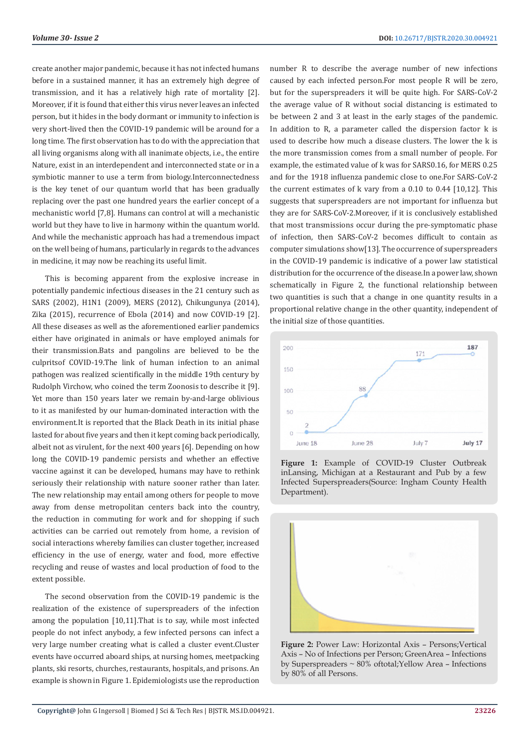create another major pandemic, because it has not infected humans before in a sustained manner, it has an extremely high degree of transmission, and it has a relatively high rate of mortality [2]. Moreover, if it is found that either this virus never leaves an infected person, but it hides in the body dormant or immunity to infection is very short-lived then the COVID-19 pandemic will be around for a long time. The first observation has to do with the appreciation that all living organisms along with all inanimate objects, i.e., the entire Nature, exist in an interdependent and interconnected state or in a symbiotic manner to use a term from biology.Interconnectedness is the key tenet of our quantum world that has been gradually replacing over the past one hundred years the earlier concept of a mechanistic world [7,8]. Humans can control at will a mechanistic world but they have to live in harmony within the quantum world. And while the mechanistic approach has had a tremendous impact on the well being of humans, particularly in regards to the advances in medicine, it may now be reaching its useful limit.

This is becoming apparent from the explosive increase in potentially pandemic infectious diseases in the 21 century such as SARS (2002), H1N1 (2009), MERS (2012), Chikungunya (2014), Zika (2015), recurrence of Ebola (2014) and now COVID-19 [2]. All these diseases as well as the aforementioned earlier pandemics either have originated in animals or have employed animals for their transmission.Bats and pangolins are believed to be the culpritsof COVID-19.The link of human infection to an animal pathogen was realized scientifically in the middle 19th century by Rudolph Virchow, who coined the term Zoonosis to describe it [9]. Yet more than 150 years later we remain by-and-large oblivious to it as manifested by our human-dominated interaction with the environment.It is reported that the Black Death in its initial phase lasted for about five years and then it kept coming back periodically, albeit not as virulent, for the next 400 years [6]. Depending on how long the COVID-19 pandemic persists and whether an effective vaccine against it can be developed, humans may have to rethink seriously their relationship with nature sooner rather than later. The new relationship may entail among others for people to move away from dense metropolitan centers back into the country, the reduction in commuting for work and for shopping if such activities can be carried out remotely from home, a revision of social interactions whereby families can cluster together, increased efficiency in the use of energy, water and food, more effective recycling and reuse of wastes and local production of food to the extent possible.

The second observation from the COVID-19 pandemic is the realization of the existence of superspreaders of the infection among the population [10,11].That is to say, while most infected people do not infect anybody, a few infected persons can infect a very large number creating what is called a cluster event.Cluster events have occurred aboard ships, at nursing homes, meetpacking plants, ski resorts, churches, restaurants, hospitals, and prisons. An example is shown in Figure 1. Epidemiologists use the reproduction

number R to describe the average number of new infections caused by each infected person.For most people R will be zero, but for the superspreaders it will be quite high. For SARS-CoV-2 the average value of R without social distancing is estimated to be between 2 and 3 at least in the early stages of the pandemic. In addition to R, a parameter called the dispersion factor k is used to describe how much a disease clusters. The lower the k is the more transmission comes from a small number of people. For example, the estimated value of k was for SARS0.16, for MERS 0.25 and for the 1918 influenza pandemic close to one.For SARS-CoV-2 the current estimates of k vary from a 0.10 to 0.44 [10,12]. This suggests that superspreaders are not important for influenza but they are for SARS-CoV-2.Moreover, if it is conclusively established that most transmissions occur during the pre-symptomatic phase of infection, then SARS-CoV-2 becomes difficult to contain as computer simulations show[13]. The occurrence of superspreaders in the COVID-19 pandemic is indicative of a power law statistical distribution for the occurrence of the disease.In a power law, shown schematically in Figure 2, the functional relationship between two quantities is such that a change in one quantity results in a proportional relative change in the other quantity, independent of the initial size of those quantities.







**Figure 2:** Power Law: Horizontal Axis – Persons;Vertical Axis – No of Infections per Person; GreenArea – Infections by Superspreaders ~ 80% oftotal;Yellow Area – Infections by 80% of all Persons.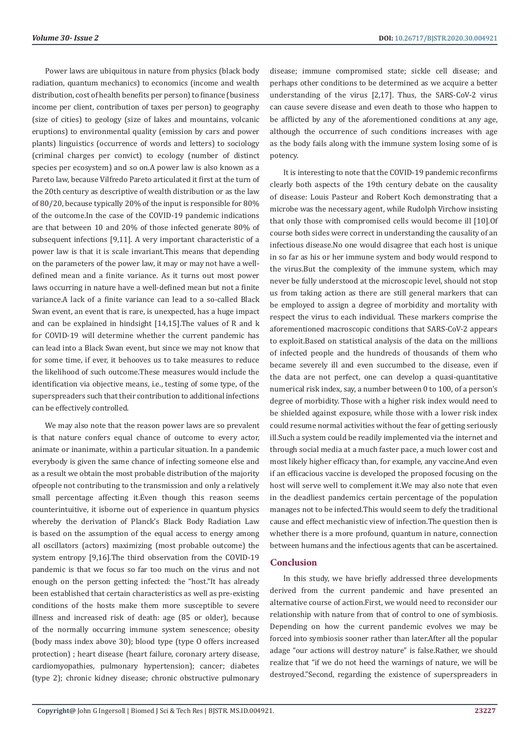Power laws are ubiquitous in nature from physics (black body radiation, quantum mechanics) to economics (income and wealth distribution, cost of health benefits per person) to finance (business income per client, contribution of taxes per person) to geography (size of cities) to geology (size of lakes and mountains, volcanic eruptions) to environmental quality (emission by cars and power plants) linguistics (occurrence of words and letters) to sociology (criminal charges per convict) to ecology (number of distinct species per ecosystem) and so on.A power law is also known as a Pareto law, because Vilfredo Pareto articulated it first at the turn of the 20th century as descriptive of wealth distribution or as the law of 80/20, because typically 20% of the input is responsible for 80% of the outcome.In the case of the COVID-19 pandemic indications are that between 10 and 20% of those infected generate 80% of subsequent infections [9,11]. A very important characteristic of a power law is that it is scale invariant.This means that depending on the parameters of the power law, it may or may not have a welldefined mean and a finite variance. As it turns out most power laws occurring in nature have a well-defined mean but not a finite variance.A lack of a finite variance can lead to a so-called Black Swan event, an event that is rare, is unexpected, has a huge impact and can be explained in hindsight [14,15].The values of R and k for COVID-19 will determine whether the current pandemic has can lead into a Black Swan event, but since we may not know that for some time, if ever, it behooves us to take measures to reduce the likelihood of such outcome.These measures would include the identification via objective means, i.e., testing of some type, of the superspreaders such that their contribution to additional infections can be effectively controlled.

We may also note that the reason power laws are so prevalent is that nature confers equal chance of outcome to every actor, animate or inanimate, within a particular situation. In a pandemic everybody is given the same chance of infecting someone else and as a result we obtain the most probable distribution of the majority ofpeople not contributing to the transmission and only a relatively small percentage affecting it.Even though this reason seems counterintuitive, it isborne out of experience in quantum physics whereby the derivation of Planck's Black Body Radiation Law is based on the assumption of the equal access to energy among all oscillators (actors) maximizing (most probable outcome) the system entropy [9,16].The third observation from the COVID-19 pandemic is that we focus so far too much on the virus and not enough on the person getting infected: the "host."It has already been established that certain characteristics as well as pre-existing conditions of the hosts make them more susceptible to severe illness and increased risk of death: age (85 or older), because of the normally occurring immune system senescence; obesity (body mass index above 30); blood type (type O offers increased protection) ; heart disease (heart failure, coronary artery disease, cardiomyopathies, pulmonary hypertension); cancer; diabetes (type 2); chronic kidney disease; chronic obstructive pulmonary

disease; immune compromised state; sickle cell disease; and perhaps other conditions to be determined as we acquire a better understanding of the virus [2,17]. Thus, the SARS-CoV-2 virus can cause severe disease and even death to those who happen to be afflicted by any of the aforementioned conditions at any age, although the occurrence of such conditions increases with age as the body fails along with the immune system losing some of is potency.

It is interesting to note that the COVID-19 pandemic reconfirms clearly both aspects of the 19th century debate on the causality of disease: Louis Pasteur and Robert Koch demonstrating that a microbe was the necessary agent, while Rudolph Virchow insisting that only those with compromised cells would become ill [10].Of course both sides were correct in understanding the causality of an infectious disease.No one would disagree that each host is unique in so far as his or her immune system and body would respond to the virus.But the complexity of the immune system, which may never be fully understood at the microscopic level, should not stop us from taking action as there are still general markers that can be employed to assign a degree of morbidity and mortality with respect the virus to each individual. These markers comprise the aforementioned macroscopic conditions that SARS-CoV-2 appears to exploit.Based on statistical analysis of the data on the millions of infected people and the hundreds of thousands of them who became severely ill and even succumbed to the disease, even if the data are not perfect, one can develop a quasi-quantitative numerical risk index, say, a number between 0 to 100, of a person's degree of morbidity. Those with a higher risk index would need to be shielded against exposure, while those with a lower risk index could resume normal activities without the fear of getting seriously ill.Such a system could be readily implemented via the internet and through social media at a much faster pace, a much lower cost and most likely higher efficacy than, for example, any vaccine.And even if an efficacious vaccine is developed the proposed focusing on the host will serve well to complement it.We may also note that even in the deadliest pandemics certain percentage of the population manages not to be infected.This would seem to defy the traditional cause and effect mechanistic view of infection.The question then is whether there is a more profound, quantum in nature, connection between humans and the infectious agents that can be ascertained.

#### **Conclusion**

In this study, we have briefly addressed three developments derived from the current pandemic and have presented an alternative course of action.First, we would need to reconsider our relationship with nature from that of control to one of symbiosis. Depending on how the current pandemic evolves we may be forced into symbiosis sooner rather than later.After all the popular adage "our actions will destroy nature" is false.Rather, we should realize that "if we do not heed the warnings of nature, we will be destroyed."Second, regarding the existence of superspreaders in